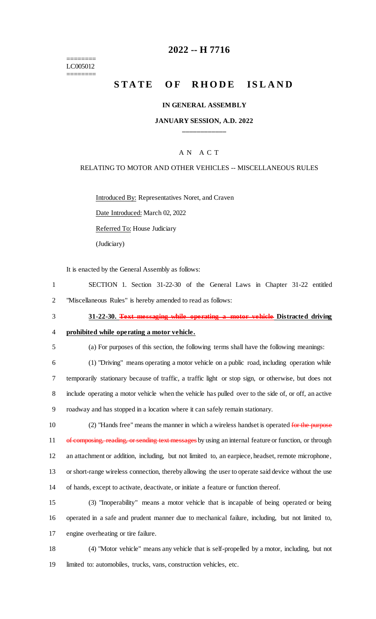======== LC005012 ========

## **2022 -- H 7716**

# **STATE OF RHODE ISLAND**

### **IN GENERAL ASSEMBLY**

### **JANUARY SESSION, A.D. 2022 \_\_\_\_\_\_\_\_\_\_\_\_**

## A N A C T

### RELATING TO MOTOR AND OTHER VEHICLES -- MISCELLANEOUS RULES

Introduced By: Representatives Noret, and Craven

Date Introduced: March 02, 2022

Referred To: House Judiciary

(Judiciary)

It is enacted by the General Assembly as follows:

1 SECTION 1. Section 31-22-30 of the General Laws in Chapter 31-22 entitled 2 "Miscellaneous Rules" is hereby amended to read as follows:

3 **31-22-30. Text messaging while operating a motor vehicle Distracted driving** 

## 4 **prohibited while operating a motor vehicle.**

5 (a) For purposes of this section, the following terms shall have the following meanings:

 (1) "Driving" means operating a motor vehicle on a public road, including operation while temporarily stationary because of traffic, a traffic light or stop sign, or otherwise, but does not include operating a motor vehicle when the vehicle has pulled over to the side of, or off, an active roadway and has stopped in a location where it can safely remain stationary.

10 (2) "Hands free" means the manner in which a wireless handset is operated for the purpose 11 of composing, reading, or sending text messages by using an internal feature or function, or through 12 an attachment or addition, including, but not limited to, an earpiece, headset, remote microphone, 13 or short-range wireless connection, thereby allowing the user to operate said device without the use 14 of hands, except to activate, deactivate, or initiate a feature or function thereof.

15 (3) "Inoperability" means a motor vehicle that is incapable of being operated or being 16 operated in a safe and prudent manner due to mechanical failure, including, but not limited to, 17 engine overheating or tire failure.

18 (4) "Motor vehicle" means any vehicle that is self-propelled by a motor, including, but not 19 limited to: automobiles, trucks, vans, construction vehicles, etc.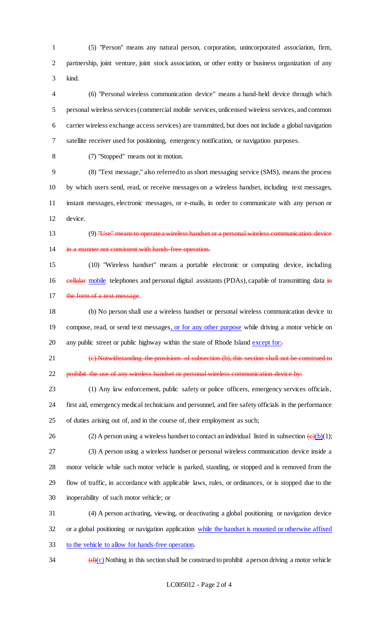(5) "Person" means any natural person, corporation, unincorporated association, firm, partnership, joint venture, joint stock association, or other entity or business organization of any kind.

 (6) "Personal wireless communication device" means a hand-held device through which personal wireless services (commercial mobile services, unlicensed wireless services, and common carrier wireless exchange access services) are transmitted, but does not include a global navigation satellite receiver used for positioning, emergency notification, or navigation purposes.

(7) "Stopped" means not in motion.

 (8) "Text message," also referred to as short messaging service (SMS), means the process by which users send, read, or receive messages on a wireless handset, including text messages, instant messages, electronic messages, or e-mails, in order to communicate with any person or device.

 (9) "Use" means to operate a wireless handset or a personal wireless communication device 14 in a manner not consistent with hands free operation.

 (10) "Wireless handset" means a portable electronic or computing device, including 16 eellular mobile telephones and personal digital assistants (PDAs), capable of transmitting data in 17 the form of a text message.

 (b) No person shall use a wireless handset or personal wireless communication device to 19 compose, read, or send text messages, or for any other purpose while driving a motor vehicle on 20 any public street or public highway within the state of Rhode Island except for:

 (c) Notwithstanding the provisions of subsection (b), this section shall not be construed to 22 prohibit the use of any wireless handset or personal wireless communication device by:

 (1) Any law enforcement, public safety or police officers, emergency services officials, first aid, emergency medical technicians and personnel, and fire safety officials in the performance of duties arising out of, and in the course of, their employment as such;

26 (2) A person using a wireless handset to contact an individual listed in subsection  $\left(\frac{e}{b}\right)(1)$ ; (3) A person using a wireless handset or personal wireless communication device inside a

 motor vehicle while such motor vehicle is parked, standing, or stopped and is removed from the flow of traffic, in accordance with applicable laws, rules, or ordinances, or is stopped due to the

inoperability of such motor vehicle; or

 (4) A person activating, viewing, or deactivating a global positioning or navigation device or a global positioning or navigation application while the handset is mounted or otherwise affixed to the vehicle to allow for hands-free operation.

 $\frac{d}{dx}$  (d)(c) Nothing in this section shall be construed to prohibit a person driving a motor vehicle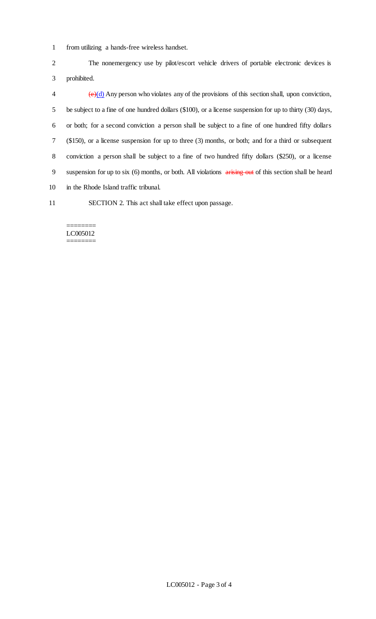1 from utilizing a hands-free wireless handset.

2 The nonemergency use by pilot/escort vehicle drivers of portable electronic devices is 3 prohibited.

 $\left(\frac{\theta}{d}\right)$  Any person who violates any of the provisions of this section shall, upon conviction, be subject to a fine of one hundred dollars (\$100), or a license suspension for up to thirty (30) days, or both; for a second conviction a person shall be subject to a fine of one hundred fifty dollars (\$150), or a license suspension for up to three (3) months, or both; and for a third or subsequent conviction a person shall be subject to a fine of two hundred fifty dollars (\$250), or a license 9 suspension for up to six (6) months, or both. All violations arising out of this section shall be heard in the Rhode Island traffic tribunal.

11 SECTION 2. This act shall take effect upon passage.

#### ======== LC005012 ========